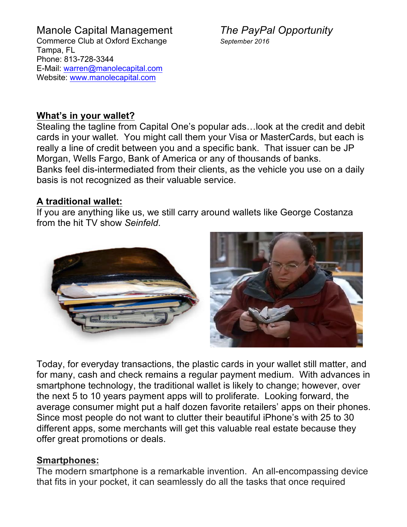# **What's in your wallet?**

Stealing the tagline from Capital One's popular ads…look at the credit and debit cards in your wallet. You might call them your Visa or MasterCards, but each is really a line of credit between you and a specific bank. That issuer can be JP Morgan, Wells Fargo, Bank of America or any of thousands of banks. Banks feel dis-intermediated from their clients, as the vehicle you use on a daily basis is not recognized as their valuable service.

# **A traditional wallet:**

If you are anything like us, we still carry around wallets like George Costanza from the hit TV show *Seinfeld*.



Today, for everyday transactions, the plastic cards in your wallet still matter, and for many, cash and check remains a regular payment medium. With advances in smartphone technology, the traditional wallet is likely to change; however, over the next 5 to 10 years payment apps will to proliferate. Looking forward, the average consumer might put a half dozen favorite retailers' apps on their phones. Since most people do not want to clutter their beautiful iPhone's with 25 to 30 different apps, some merchants will get this valuable real estate because they offer great promotions or deals.

# **Smartphones:**

The modern smartphone is a remarkable invention. An all-encompassing device that fits in your pocket, it can seamlessly do all the tasks that once required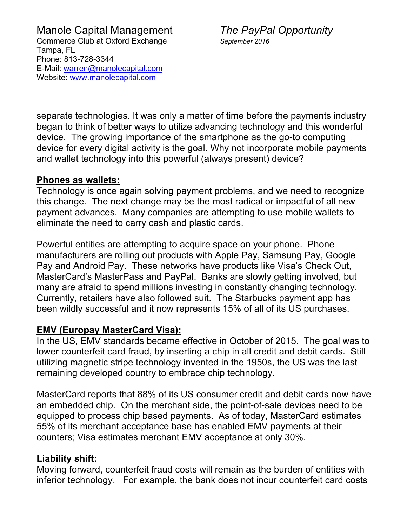separate technologies. It was only a matter of time before the payments industry began to think of better ways to utilize advancing technology and this wonderful device. The growing importance of the smartphone as the go-to computing device for every digital activity is the goal. Why not incorporate mobile payments and wallet technology into this powerful (always present) device?

### **Phones as wallets:**

Technology is once again solving payment problems, and we need to recognize this change. The next change may be the most radical or impactful of all new payment advances. Many companies are attempting to use mobile wallets to eliminate the need to carry cash and plastic cards.

Powerful entities are attempting to acquire space on your phone. Phone manufacturers are rolling out products with Apple Pay, Samsung Pay, Google Pay and Android Pay. These networks have products like Visa's Check Out, MasterCard's MasterPass and PayPal. Banks are slowly getting involved, but many are afraid to spend millions investing in constantly changing technology. Currently, retailers have also followed suit. The Starbucks payment app has been wildly successful and it now represents 15% of all of its US purchases.

# **EMV (Europay MasterCard Visa):**

In the US, EMV standards became effective in October of 2015. The goal was to lower counterfeit card fraud, by inserting a chip in all credit and debit cards. Still utilizing magnetic stripe technology invented in the 1950s, the US was the last remaining developed country to embrace chip technology.

MasterCard reports that 88% of its US consumer credit and debit cards now have an embedded chip. On the merchant side, the point-of-sale devices need to be equipped to process chip based payments. As of today, MasterCard estimates 55% of its merchant acceptance base has enabled EMV payments at their counters; Visa estimates merchant EMV acceptance at only 30%.

# **Liability shift:**

Moving forward, counterfeit fraud costs will remain as the burden of entities with inferior technology. For example, the bank does not incur counterfeit card costs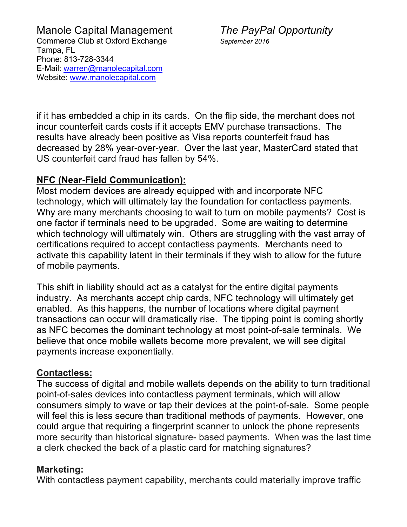if it has embedded a chip in its cards. On the flip side, the merchant does not incur counterfeit cards costs if it accepts EMV purchase transactions. The results have already been positive as Visa reports counterfeit fraud has decreased by 28% year-over-year. Over the last year, MasterCard stated that US counterfeit card fraud has fallen by 54%.

# **NFC (Near-Field Communication):**

Most modern devices are already equipped with and incorporate NFC technology, which will ultimately lay the foundation for contactless payments. Why are many merchants choosing to wait to turn on mobile payments? Cost is one factor if terminals need to be upgraded. Some are waiting to determine which technology will ultimately win. Others are struggling with the vast array of certifications required to accept contactless payments. Merchants need to activate this capability latent in their terminals if they wish to allow for the future of mobile payments.

This shift in liability should act as a catalyst for the entire digital payments industry. As merchants accept chip cards, NFC technology will ultimately get enabled. As this happens, the number of locations where digital payment transactions can occur will dramatically rise. The tipping point is coming shortly as NFC becomes the dominant technology at most point-of-sale terminals. We believe that once mobile wallets become more prevalent, we will see digital payments increase exponentially.

### **Contactless:**

The success of digital and mobile wallets depends on the ability to turn traditional point-of-sales devices into contactless payment terminals, which will allow consumers simply to wave or tap their devices at the point-of-sale. Some people will feel this is less secure than traditional methods of payments. However, one could argue that requiring a fingerprint scanner to unlock the phone represents more security than historical signature- based payments. When was the last time a clerk checked the back of a plastic card for matching signatures?

# **Marketing:**

With contactless payment capability, merchants could materially improve traffic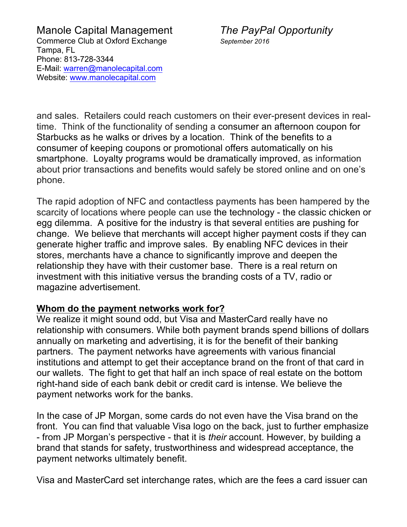and sales. Retailers could reach customers on their ever-present devices in realtime. Think of the functionality of sending a consumer an afternoon coupon for Starbucks as he walks or drives by a location. Think of the benefits to a consumer of keeping coupons or promotional offers automatically on his smartphone. Loyalty programs would be dramatically improved, as information about prior transactions and benefits would safely be stored online and on one's phone.

The rapid adoption of NFC and contactless payments has been hampered by the scarcity of locations where people can use the technology - the classic chicken or egg dilemma. A positive for the industry is that several entities are pushing for change. We believe that merchants will accept higher payment costs if they can generate higher traffic and improve sales. By enabling NFC devices in their stores, merchants have a chance to significantly improve and deepen the relationship they have with their customer base. There is a real return on investment with this initiative versus the branding costs of a TV, radio or magazine advertisement.

# **Whom do the payment networks work for?**

We realize it might sound odd, but Visa and MasterCard really have no relationship with consumers. While both payment brands spend billions of dollars annually on marketing and advertising, it is for the benefit of their banking partners. The payment networks have agreements with various financial institutions and attempt to get their acceptance brand on the front of that card in our wallets. The fight to get that half an inch space of real estate on the bottom right-hand side of each bank debit or credit card is intense. We believe the payment networks work for the banks.

In the case of JP Morgan, some cards do not even have the Visa brand on the front. You can find that valuable Visa logo on the back, just to further emphasize - from JP Morgan's perspective - that it is *their* account. However, by building a brand that stands for safety, trustworthiness and widespread acceptance, the payment networks ultimately benefit.

Visa and MasterCard set interchange rates, which are the fees a card issuer can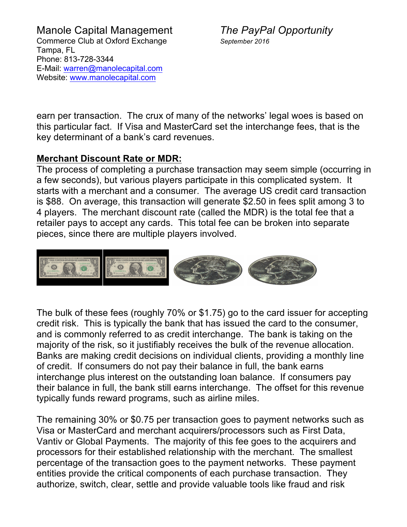earn per transaction. The crux of many of the networks' legal woes is based on this particular fact. If Visa and MasterCard set the interchange fees, that is the key determinant of a bank's card revenues.

# **Merchant Discount Rate or MDR:**

The process of completing a purchase transaction may seem simple (occurring in a few seconds), but various players participate in this complicated system. It starts with a merchant and a consumer. The average US credit card transaction is \$88. On average, this transaction will generate \$2.50 in fees split among 3 to 4 players. The merchant discount rate (called the MDR) is the total fee that a retailer pays to accept any cards. This total fee can be broken into separate pieces, since there are multiple players involved.



The bulk of these fees (roughly 70% or \$1.75) go to the card issuer for accepting credit risk. This is typically the bank that has issued the card to the consumer, and is commonly referred to as credit interchange. The bank is taking on the majority of the risk, so it justifiably receives the bulk of the revenue allocation. Banks are making credit decisions on individual clients, providing a monthly line of credit. If consumers do not pay their balance in full, the bank earns interchange plus interest on the outstanding loan balance. If consumers pay their balance in full, the bank still earns interchange. The offset for this revenue typically funds reward programs, such as airline miles.

The remaining 30% or \$0.75 per transaction goes to payment networks such as Visa or MasterCard and merchant acquirers/processors such as First Data, Vantiv or Global Payments. The majority of this fee goes to the acquirers and processors for their established relationship with the merchant. The smallest percentage of the transaction goes to the payment networks. These payment entities provide the critical components of each purchase transaction. They authorize, switch, clear, settle and provide valuable tools like fraud and risk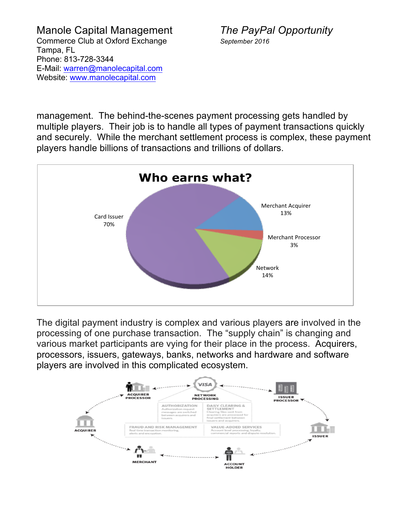management. The behind-the-scenes payment processing gets handled by multiple players. Their job is to handle all types of payment transactions quickly and securely. While the merchant settlement process is complex, these payment players handle billions of transactions and trillions of dollars.



The digital payment industry is complex and various players are involved in the processing of one purchase transaction. The "supply chain" is changing and various market participants are vying for their place in the process. Acquirers, processors, issuers, gateways, banks, networks and hardware and software players are involved in this complicated ecosystem.

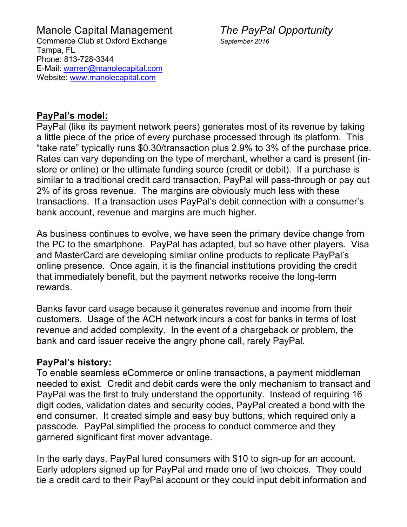### **PayPal's model:**

PayPal (like its payment network peers) generates most of its revenue by taking a little piece of the price of every purchase processed through its platform. This "take rate" typically runs \$0.30/transaction plus 2.9% to 3% of the purchase price. Rates can vary depending on the type of merchant, whether a card is present (instore or online) or the ultimate funding source (credit or debit). If a purchase is similar to a traditional credit card transaction, PayPal will pass-through or pay out 2% of its gross revenue. The margins are obviously much less with these transactions. If a transaction uses PayPal's debit connection with a consumer's bank account, revenue and margins are much higher.

As business continues to evolve, we have seen the primary device change from the PC to the smartphone. PayPal has adapted, but so have other players. Visa and MasterCard are developing similar online products to replicate PayPal's online presence. Once again, it is the financial institutions providing the credit that immediately benefit, but the payment networks receive the long-term rewards.

Banks favor card usage because it generates revenue and income from their customers. Usage of the ACH network incurs a cost for banks in terms of lost revenue and added complexity. In the event of a chargeback or problem, the bank and card issuer receive the angry phone call, rarely PayPal.

### **PayPal's history:**

To enable seamless eCommerce or online transactions, a payment middleman needed to exist. Credit and debit cards were the only mechanism to transact and PayPal was the first to truly understand the opportunity. Instead of requiring 16 digit codes, validation dates and security codes, PayPal created a bond with the end consumer. It created simple and easy buy buttons, which required only a passcode. PayPal simplified the process to conduct commerce and they garnered significant first mover advantage.

In the early days, PayPal lured consumers with \$10 to sign-up for an account. Early adopters signed up for PayPal and made one of two choices. They could tie a credit card to their PayPal account or they could input debit information and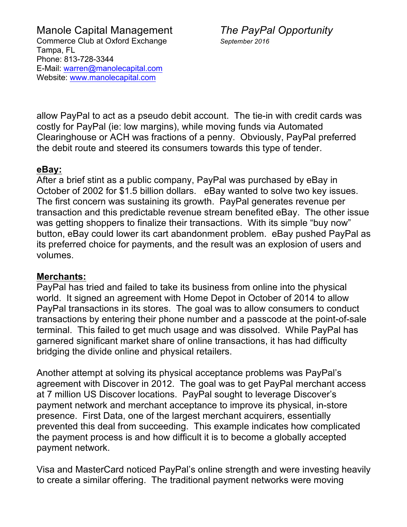allow PayPal to act as a pseudo debit account. The tie-in with credit cards was costly for PayPal (ie: low margins), while moving funds via Automated Clearinghouse or ACH was fractions of a penny. Obviously, PayPal preferred the debit route and steered its consumers towards this type of tender.

### **eBay:**

After a brief stint as a public company, PayPal was purchased by eBay in October of 2002 for \$1.5 billion dollars. eBay wanted to solve two key issues. The first concern was sustaining its growth. PayPal generates revenue per transaction and this predictable revenue stream benefited eBay. The other issue was getting shoppers to finalize their transactions. With its simple "buy now" button, eBay could lower its cart abandonment problem. eBay pushed PayPal as its preferred choice for payments, and the result was an explosion of users and volumes.

### **Merchants:**

PayPal has tried and failed to take its business from online into the physical world. It signed an agreement with Home Depot in October of 2014 to allow PayPal transactions in its stores. The goal was to allow consumers to conduct transactions by entering their phone number and a passcode at the point-of-sale terminal. This failed to get much usage and was dissolved. While PayPal has garnered significant market share of online transactions, it has had difficulty bridging the divide online and physical retailers.

Another attempt at solving its physical acceptance problems was PayPal's agreement with Discover in 2012. The goal was to get PayPal merchant access at 7 million US Discover locations. PayPal sought to leverage Discover's payment network and merchant acceptance to improve its physical, in-store presence. First Data, one of the largest merchant acquirers, essentially prevented this deal from succeeding. This example indicates how complicated the payment process is and how difficult it is to become a globally accepted payment network.

Visa and MasterCard noticed PayPal's online strength and were investing heavily to create a similar offering. The traditional payment networks were moving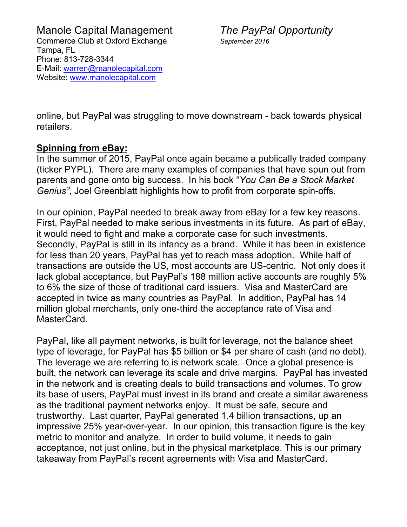online, but PayPal was struggling to move downstream - back towards physical retailers.

# **Spinning from eBay:**

In the summer of 2015, PayPal once again became a publically traded company (ticker PYPL). There are many examples of companies that have spun out from parents and gone onto big success. In his book "*You Can Be a Stock Market Genius"*, Joel Greenblatt highlights how to profit from corporate spin-offs.

In our opinion, PayPal needed to break away from eBay for a few key reasons. First, PayPal needed to make serious investments in its future. As part of eBay, it would need to fight and make a corporate case for such investments. Secondly, PayPal is still in its infancy as a brand. While it has been in existence for less than 20 years, PayPal has yet to reach mass adoption. While half of transactions are outside the US, most accounts are US-centric. Not only does it lack global acceptance, but PayPal's 188 million active accounts are roughly 5% to 6% the size of those of traditional card issuers. Visa and MasterCard are accepted in twice as many countries as PayPal. In addition, PayPal has 14 million global merchants, only one-third the acceptance rate of Visa and MasterCard.

PayPal, like all payment networks, is built for leverage, not the balance sheet type of leverage, for PayPal has \$5 billion or \$4 per share of cash (and no debt). The leverage we are referring to is network scale. Once a global presence is built, the network can leverage its scale and drive margins. PayPal has invested in the network and is creating deals to build transactions and volumes. To grow its base of users, PayPal must invest in its brand and create a similar awareness as the traditional payment networks enjoy. It must be safe, secure and trustworthy. Last quarter, PayPal generated 1.4 billion transactions, up an impressive 25% year-over-year. In our opinion, this transaction figure is the key metric to monitor and analyze. In order to build volume, it needs to gain acceptance, not just online, but in the physical marketplace. This is our primary takeaway from PayPal's recent agreements with Visa and MasterCard.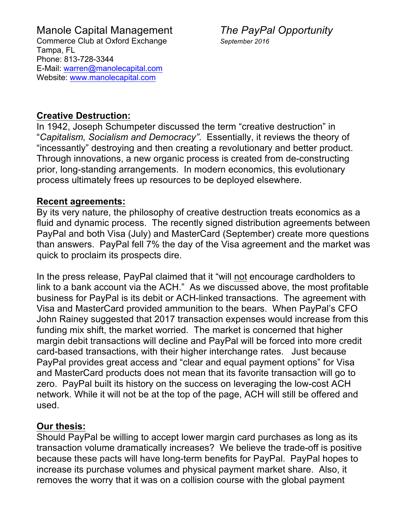## **Creative Destruction:**

In 1942, Joseph Schumpeter discussed the term "creative destruction" in "*Capitalism, Socialism and Democracy"*. Essentially, it reviews the theory of "incessantly" destroying and then creating a revolutionary and better product. Through innovations, a new organic process is created from de-constructing prior, long-standing arrangements. In modern economics, this evolutionary process ultimately frees up resources to be deployed elsewhere.

### **Recent agreements:**

By its very nature, the philosophy of creative destruction treats economics as a fluid and dynamic process. The recently signed distribution agreements between PayPal and both Visa (July) and MasterCard (September) create more questions than answers. PayPal fell 7% the day of the Visa agreement and the market was quick to proclaim its prospects dire.

In the press release, PayPal claimed that it "will not encourage cardholders to link to a bank account via the ACH." As we discussed above, the most profitable business for PayPal is its debit or ACH-linked transactions. The agreement with Visa and MasterCard provided ammunition to the bears. When PayPal's CFO John Rainey suggested that 2017 transaction expenses would increase from this funding mix shift, the market worried. The market is concerned that higher margin debit transactions will decline and PayPal will be forced into more credit card-based transactions, with their higher interchange rates. Just because PayPal provides great access and "clear and equal payment options" for Visa and MasterCard products does not mean that its favorite transaction will go to zero. PayPal built its history on the success on leveraging the low-cost ACH network. While it will not be at the top of the page, ACH will still be offered and used.

# **Our thesis:**

Should PayPal be willing to accept lower margin card purchases as long as its transaction volume dramatically increases? We believe the trade-off is positive because these pacts will have long-term benefits for PayPal. PayPal hopes to increase its purchase volumes and physical payment market share. Also, it removes the worry that it was on a collision course with the global payment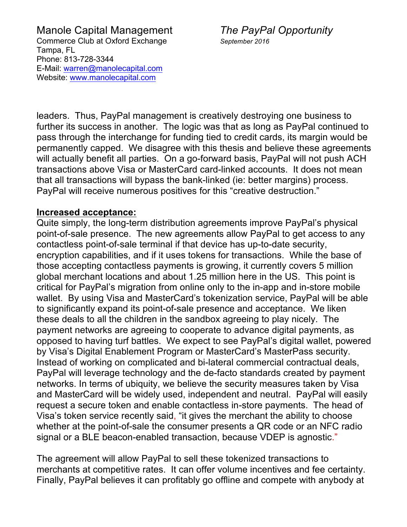leaders. Thus, PayPal management is creatively destroying one business to further its success in another. The logic was that as long as PayPal continued to pass through the interchange for funding tied to credit cards, its margin would be permanently capped. We disagree with this thesis and believe these agreements will actually benefit all parties. On a go-forward basis, PayPal will not push ACH transactions above Visa or MasterCard card-linked accounts. It does not mean that all transactions will bypass the bank-linked (ie: better margins) process. PayPal will receive numerous positives for this "creative destruction."

#### **Increased acceptance:**

Quite simply, the long-term distribution agreements improve PayPal's physical point-of-sale presence. The new agreements allow PayPal to get access to any contactless point-of-sale terminal if that device has up-to-date security, encryption capabilities, and if it uses tokens for transactions. While the base of those accepting contactless payments is growing, it currently covers 5 million global merchant locations and about 1.25 million here in the US. This point is critical for PayPal's migration from online only to the in-app and in-store mobile wallet. By using Visa and MasterCard's tokenization service, PayPal will be able to significantly expand its point-of-sale presence and acceptance. We liken these deals to all the children in the sandbox agreeing to play nicely. The payment networks are agreeing to cooperate to advance digital payments, as opposed to having turf battles. We expect to see PayPal's digital wallet, powered by Visa's Digital Enablement Program or MasterCard's MasterPass security. Instead of working on complicated and bi-lateral commercial contractual deals, PayPal will leverage technology and the de-facto standards created by payment networks. In terms of ubiquity, we believe the security measures taken by Visa and MasterCard will be widely used, independent and neutral. PayPal will easily request a secure token and enable contactless in-store payments. The head of Visa's token service recently said, "it gives the merchant the ability to choose whether at the point-of-sale the consumer presents a QR code or an NFC radio signal or a BLE beacon-enabled transaction, because VDEP is agnostic."

The agreement will allow PayPal to sell these tokenized transactions to merchants at competitive rates. It can offer volume incentives and fee certainty. Finally, PayPal believes it can profitably go offline and compete with anybody at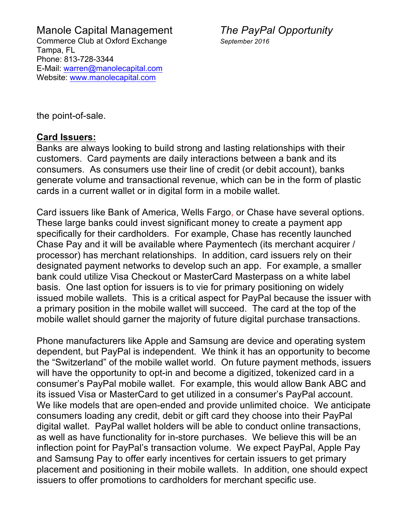the point-of-sale.

#### **Card Issuers:**

Banks are always looking to build strong and lasting relationships with their customers. Card payments are daily interactions between a bank and its consumers. As consumers use their line of credit (or debit account), banks generate volume and transactional revenue, which can be in the form of plastic cards in a current wallet or in digital form in a mobile wallet.

Card issuers like Bank of America, Wells Fargo, or Chase have several options. These large banks could invest significant money to create a payment app specifically for their cardholders. For example, Chase has recently launched Chase Pay and it will be available where Paymentech (its merchant acquirer / processor) has merchant relationships. In addition, card issuers rely on their designated payment networks to develop such an app. For example, a smaller bank could utilize Visa Checkout or MasterCard Masterpass on a white label basis. One last option for issuers is to vie for primary positioning on widely issued mobile wallets. This is a critical aspect for PayPal because the issuer with a primary position in the mobile wallet will succeed. The card at the top of the mobile wallet should garner the majority of future digital purchase transactions.

Phone manufacturers like Apple and Samsung are device and operating system dependent, but PayPal is independent. We think it has an opportunity to become the "Switzerland" of the mobile wallet world. On future payment methods, issuers will have the opportunity to opt-in and become a digitized, tokenized card in a consumer's PayPal mobile wallet. For example, this would allow Bank ABC and its issued Visa or MasterCard to get utilized in a consumer's PayPal account. We like models that are open-ended and provide unlimited choice. We anticipate consumers loading any credit, debit or gift card they choose into their PayPal digital wallet. PayPal wallet holders will be able to conduct online transactions, as well as have functionality for in-store purchases. We believe this will be an inflection point for PayPal's transaction volume. We expect PayPal, Apple Pay and Samsung Pay to offer early incentives for certain issuers to get primary placement and positioning in their mobile wallets. In addition, one should expect issuers to offer promotions to cardholders for merchant specific use.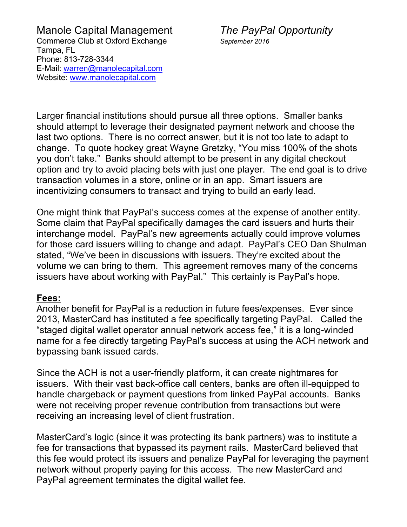Larger financial institutions should pursue all three options. Smaller banks should attempt to leverage their designated payment network and choose the last two options. There is no correct answer, but it is not too late to adapt to change. To quote hockey great Wayne Gretzky, "You miss 100% of the shots you don't take." Banks should attempt to be present in any digital checkout option and try to avoid placing bets with just one player. The end goal is to drive transaction volumes in a store, online or in an app. Smart issuers are incentivizing consumers to transact and trying to build an early lead.

One might think that PayPal's success comes at the expense of another entity. Some claim that PayPal specifically damages the card issuers and hurts their interchange model. PayPal's new agreements actually could improve volumes for those card issuers willing to change and adapt. PayPal's CEO Dan Shulman stated, "We've been in discussions with issuers. They're excited about the volume we can bring to them. This agreement removes many of the concerns issuers have about working with PayPal." This certainly is PayPal's hope.

#### **Fees:**

Another benefit for PayPal is a reduction in future fees/expenses. Ever since 2013, MasterCard has instituted a fee specifically targeting PayPal. Called the "staged digital wallet operator annual network access fee," it is a long-winded name for a fee directly targeting PayPal's success at using the ACH network and bypassing bank issued cards.

Since the ACH is not a user-friendly platform, it can create nightmares for issuers. With their vast back-office call centers, banks are often ill-equipped to handle chargeback or payment questions from linked PayPal accounts. Banks were not receiving proper revenue contribution from transactions but were receiving an increasing level of client frustration.

MasterCard's logic (since it was protecting its bank partners) was to institute a fee for transactions that bypassed its payment rails. MasterCard believed that this fee would protect its issuers and penalize PayPal for leveraging the payment network without properly paying for this access. The new MasterCard and PayPal agreement terminates the digital wallet fee.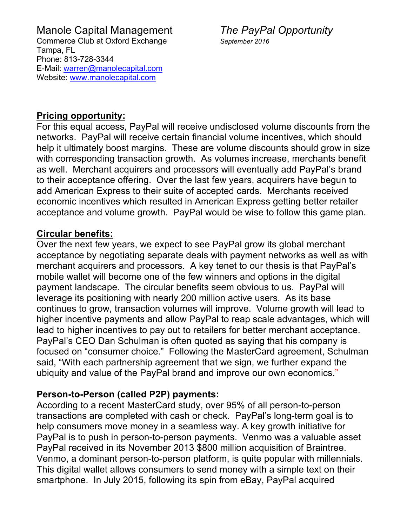### **Pricing opportunity:**

For this equal access, PayPal will receive undisclosed volume discounts from the networks. PayPal will receive certain financial volume incentives, which should help it ultimately boost margins. These are volume discounts should grow in size with corresponding transaction growth. As volumes increase, merchants benefit as well. Merchant acquirers and processors will eventually add PayPal's brand to their acceptance offering. Over the last few years, acquirers have begun to add American Express to their suite of accepted cards. Merchants received economic incentives which resulted in American Express getting better retailer acceptance and volume growth. PayPal would be wise to follow this game plan.

# **Circular benefits:**

Over the next few years, we expect to see PayPal grow its global merchant acceptance by negotiating separate deals with payment networks as well as with merchant acquirers and processors. A key tenet to our thesis is that PayPal's mobile wallet will become one of the few winners and options in the digital payment landscape. The circular benefits seem obvious to us. PayPal will leverage its positioning with nearly 200 million active users. As its base continues to grow, transaction volumes will improve. Volume growth will lead to higher incentive payments and allow PayPal to reap scale advantages, which will lead to higher incentives to pay out to retailers for better merchant acceptance. PayPal's CEO Dan Schulman is often quoted as saying that his company is focused on "consumer choice." Following the MasterCard agreement, Schulman said, "With each partnership agreement that we sign, we further expand the ubiquity and value of the PayPal brand and improve our own economics."

# **Person-to-Person (called P2P) payments:**

According to a recent MasterCard study, over 95% of all person-to-person transactions are completed with cash or check. PayPal's long-term goal is to help consumers move money in a seamless way. A key growth initiative for PayPal is to push in person-to-person payments. Venmo was a valuable asset PayPal received in its November 2013 \$800 million acquisition of Braintree. Venmo, a dominant person-to-person platform, is quite popular with millennials. This digital wallet allows consumers to send money with a simple text on their smartphone. In July 2015, following its spin from eBay, PayPal acquired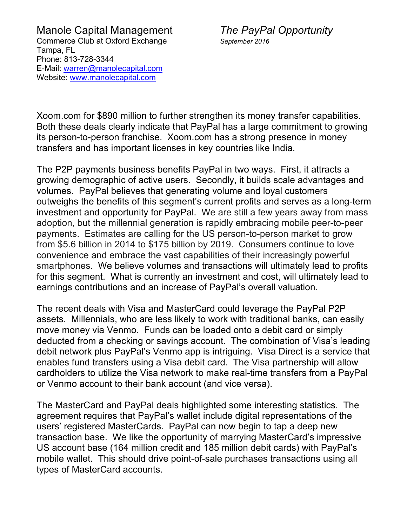Xoom.com for \$890 million to further strengthen its money transfer capabilities. Both these deals clearly indicate that PayPal has a large commitment to growing its person-to-person franchise. Xoom.com has a strong presence in money transfers and has important licenses in key countries like India.

The P2P payments business benefits PayPal in two ways. First, it attracts a growing demographic of active users. Secondly, it builds scale advantages and volumes. PayPal believes that generating volume and loyal customers outweighs the benefits of this segment's current profits and serves as a long-term investment and opportunity for PayPal. We are still a few years away from mass adoption, but the millennial generation is rapidly embracing mobile peer-to-peer payments. Estimates are calling for the US person-to-person market to grow from \$5.6 billion in 2014 to \$175 billion by 2019. Consumers continue to love convenience and embrace the vast capabilities of their increasingly powerful smartphones. We believe volumes and transactions will ultimately lead to profits for this segment. What is currently an investment and cost, will ultimately lead to earnings contributions and an increase of PayPal's overall valuation.

The recent deals with Visa and MasterCard could leverage the PayPal P2P assets. Millennials, who are less likely to work with traditional banks, can easily move money via Venmo. Funds can be loaded onto a debit card or simply deducted from a checking or savings account. The combination of Visa's leading debit network plus PayPal's Venmo app is intriguing. Visa Direct is a service that enables fund transfers using a Visa debit card. The Visa partnership will allow cardholders to utilize the Visa network to make real-time transfers from a PayPal or Venmo account to their bank account (and vice versa).

The MasterCard and PayPal deals highlighted some interesting statistics. The agreement requires that PayPal's wallet include digital representations of the users' registered MasterCards. PayPal can now begin to tap a deep new transaction base. We like the opportunity of marrying MasterCard's impressive US account base (164 million credit and 185 million debit cards) with PayPal's mobile wallet. This should drive point-of-sale purchases transactions using all types of MasterCard accounts.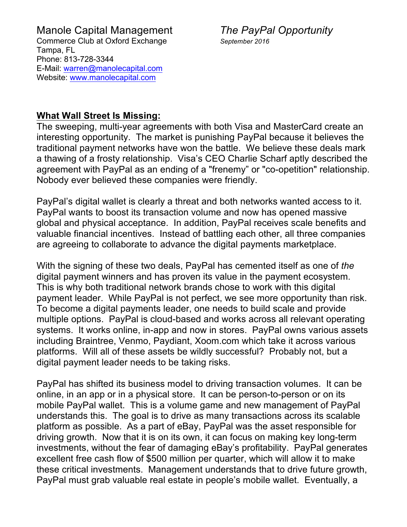#### **What Wall Street Is Missing:**

The sweeping, multi-year agreements with both Visa and MasterCard create an interesting opportunity. The market is punishing PayPal because it believes the traditional payment networks have won the battle. We believe these deals mark a thawing of a frosty relationship. Visa's CEO Charlie Scharf aptly described the agreement with PayPal as an ending of a "frenemy" or "co-opetition" relationship. Nobody ever believed these companies were friendly.

PayPal's digital wallet is clearly a threat and both networks wanted access to it. PayPal wants to boost its transaction volume and now has opened massive global and physical acceptance. In addition, PayPal receives scale benefits and valuable financial incentives. Instead of battling each other, all three companies are agreeing to collaborate to advance the digital payments marketplace.

With the signing of these two deals, PayPal has cemented itself as one of *the* digital payment winners and has proven its value in the payment ecosystem. This is why both traditional network brands chose to work with this digital payment leader. While PayPal is not perfect, we see more opportunity than risk. To become a digital payments leader, one needs to build scale and provide multiple options. PayPal is cloud-based and works across all relevant operating systems. It works online, in-app and now in stores. PayPal owns various assets including Braintree, Venmo, Paydiant, Xoom.com which take it across various platforms. Will all of these assets be wildly successful? Probably not, but a digital payment leader needs to be taking risks.

PayPal has shifted its business model to driving transaction volumes. It can be online, in an app or in a physical store. It can be person-to-person or on its mobile PayPal wallet. This is a volume game and new management of PayPal understands this. The goal is to drive as many transactions across its scalable platform as possible. As a part of eBay, PayPal was the asset responsible for driving growth. Now that it is on its own, it can focus on making key long-term investments, without the fear of damaging eBay's profitability. PayPal generates excellent free cash flow of \$500 million per quarter, which will allow it to make these critical investments. Management understands that to drive future growth, PayPal must grab valuable real estate in people's mobile wallet. Eventually, a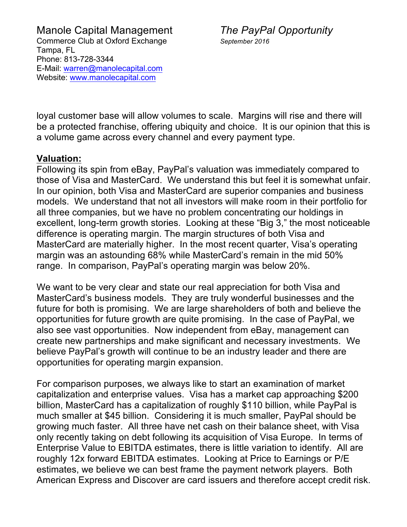loyal customer base will allow volumes to scale. Margins will rise and there will be a protected franchise, offering ubiquity and choice. It is our opinion that this is a volume game across every channel and every payment type.

### **Valuation:**

Following its spin from eBay, PayPal's valuation was immediately compared to those of Visa and MasterCard. We understand this but feel it is somewhat unfair. In our opinion, both Visa and MasterCard are superior companies and business models. We understand that not all investors will make room in their portfolio for all three companies, but we have no problem concentrating our holdings in excellent, long-term growth stories. Looking at these "Big 3," the most noticeable difference is operating margin. The margin structures of both Visa and MasterCard are materially higher. In the most recent quarter, Visa's operating margin was an astounding 68% while MasterCard's remain in the mid 50% range. In comparison, PayPal's operating margin was below 20%.

We want to be very clear and state our real appreciation for both Visa and MasterCard's business models. They are truly wonderful businesses and the future for both is promising. We are large shareholders of both and believe the opportunities for future growth are quite promising. In the case of PayPal, we also see vast opportunities. Now independent from eBay, management can create new partnerships and make significant and necessary investments. We believe PayPal's growth will continue to be an industry leader and there are opportunities for operating margin expansion.

For comparison purposes, we always like to start an examination of market capitalization and enterprise values. Visa has a market cap approaching \$200 billion, MasterCard has a capitalization of roughly \$110 billion, while PayPal is much smaller at \$45 billion. Considering it is much smaller, PayPal should be growing much faster. All three have net cash on their balance sheet, with Visa only recently taking on debt following its acquisition of Visa Europe. In terms of Enterprise Value to EBITDA estimates, there is little variation to identify. All are roughly 12x forward EBITDA estimates. Looking at Price to Earnings or P/E estimates, we believe we can best frame the payment network players. Both American Express and Discover are card issuers and therefore accept credit risk.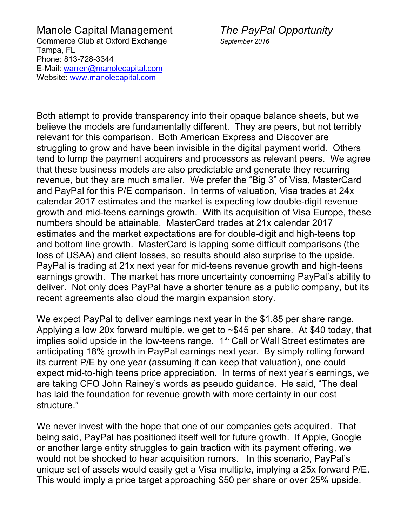Both attempt to provide transparency into their opaque balance sheets, but we believe the models are fundamentally different. They are peers, but not terribly relevant for this comparison. Both American Express and Discover are struggling to grow and have been invisible in the digital payment world. Others tend to lump the payment acquirers and processors as relevant peers. We agree that these business models are also predictable and generate they recurring revenue, but they are much smaller. We prefer the "Big 3" of Visa, MasterCard and PayPal for this P/E comparison. In terms of valuation, Visa trades at 24x calendar 2017 estimates and the market is expecting low double-digit revenue growth and mid-teens earnings growth. With its acquisition of Visa Europe, these numbers should be attainable. MasterCard trades at 21x calendar 2017 estimates and the market expectations are for double-digit and high-teens top and bottom line growth. MasterCard is lapping some difficult comparisons (the loss of USAA) and client losses, so results should also surprise to the upside. PayPal is trading at 21x next year for mid-teens revenue growth and high-teens earnings growth. The market has more uncertainty concerning PayPal's ability to deliver. Not only does PayPal have a shorter tenure as a public company, but its recent agreements also cloud the margin expansion story.

We expect PayPal to deliver earnings next year in the \$1.85 per share range. Applying a low 20x forward multiple, we get to ~\$45 per share. At \$40 today, that implies solid upside in the low-teens range.  $1<sup>st</sup>$  Call or Wall Street estimates are anticipating 18% growth in PayPal earnings next year. By simply rolling forward its current P/E by one year (assuming it can keep that valuation), one could expect mid-to-high teens price appreciation. In terms of next year's earnings, we are taking CFO John Rainey's words as pseudo guidance. He said, "The deal has laid the foundation for revenue growth with more certainty in our cost structure."

We never invest with the hope that one of our companies gets acquired. That being said, PayPal has positioned itself well for future growth. If Apple, Google or another large entity struggles to gain traction with its payment offering, we would not be shocked to hear acquisition rumors. In this scenario, PayPal's unique set of assets would easily get a Visa multiple, implying a 25x forward P/E. This would imply a price target approaching \$50 per share or over 25% upside.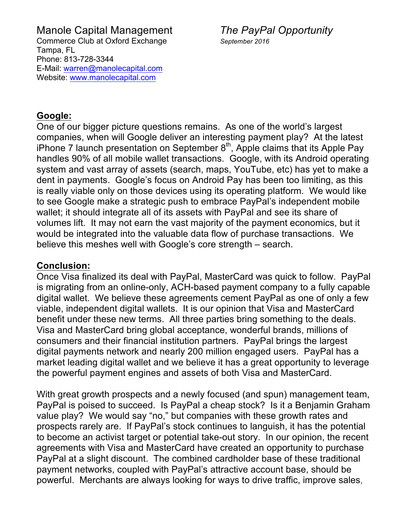### **Google:**

One of our bigger picture questions remains. As one of the world's largest companies, when will Google deliver an interesting payment play? At the latest iPhone 7 launch presentation on September  $8<sup>th</sup>$ , Apple claims that its Apple Pay handles 90% of all mobile wallet transactions. Google, with its Android operating system and vast array of assets (search, maps, YouTube, etc) has yet to make a dent in payments. Google's focus on Android Pay has been too limiting, as this is really viable only on those devices using its operating platform. We would like to see Google make a strategic push to embrace PayPal's independent mobile wallet; it should integrate all of its assets with PayPal and see its share of volumes lift. It may not earn the vast majority of the payment economics, but it would be integrated into the valuable data flow of purchase transactions. We believe this meshes well with Google's core strength – search.

#### **Conclusion:**

Once Visa finalized its deal with PayPal, MasterCard was quick to follow. PayPal is migrating from an online-only, ACH-based payment company to a fully capable digital wallet. We believe these agreements cement PayPal as one of only a few viable, independent digital wallets. It is our opinion that Visa and MasterCard benefit under these new terms. All three parties bring something to the deals. Visa and MasterCard bring global acceptance, wonderful brands, millions of consumers and their financial institution partners. PayPal brings the largest digital payments network and nearly 200 million engaged users. PayPal has a market leading digital wallet and we believe it has a great opportunity to leverage the powerful payment engines and assets of both Visa and MasterCard.

With great growth prospects and a newly focused (and spun) management team, PayPal is poised to succeed. Is PayPal a cheap stock? Is it a Benjamin Graham value play? We would say "no," but companies with these growth rates and prospects rarely are. If PayPal's stock continues to languish, it has the potential to become an activist target or potential take-out story. In our opinion, the recent agreements with Visa and MasterCard have created an opportunity to purchase PayPal at a slight discount. The combined cardholder base of these traditional payment networks, coupled with PayPal's attractive account base, should be powerful. Merchants are always looking for ways to drive traffic, improve sales,